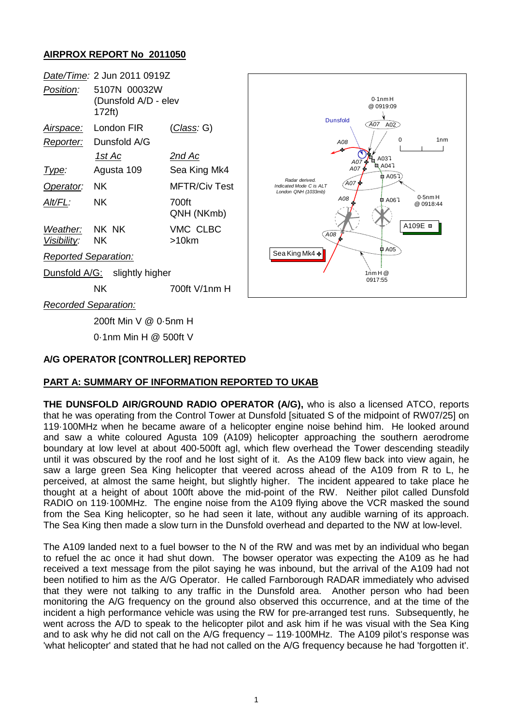### **AIRPROX REPORT No 2011050**

|                               | Date/Time: 2 Jun 2011 0919Z                    |                     |
|-------------------------------|------------------------------------------------|---------------------|
| Position:                     | 5107N 00032W<br>(Dunsfold A/D - elev<br>172ft) |                     |
| <u>Airspace:</u>              | London FIR                                     | <u>(Class</u> : G)  |
| <u>Reporter:</u>              | Dunsfold A/G                                   |                     |
|                               | <u> 1st Ac</u>                                 | <u>2nd Ac</u>       |
| l ype:                        | Agusta 109                                     | Sea King Mk4        |
| Operator:                     | NK                                             | MFTR/Civ Test       |
| Alt/FL:                       | ΝK                                             | 700ft<br>QNH (NKmb) |
| Weather: NK NK                |                                                | VMC CLBC            |
| Visibility: NK                |                                                | $>10$ km            |
| <b>Reported Separation:</b>   |                                                |                     |
| Dunsfold A/G: slightly higher |                                                |                     |
|                               | ΝK                                             | 700ft V/1nm H       |



*Recorded Separation:*

200ft Min V @ 0·5nm H

0·1nm Min H @ 500ft V

#### **A/G OPERATOR [CONTROLLER] REPORTED**

# **PART A: SUMMARY OF INFORMATION REPORTED TO UKAB**

**THE DUNSFOLD AIR/GROUND RADIO OPERATOR (A/G),** who is also a licensed ATCO, reports that he was operating from the Control Tower at Dunsfold [situated S of the midpoint of RW07/25] on 119·100MHz when he became aware of a helicopter engine noise behind him. He looked around and saw a white coloured Agusta 109 (A109) helicopter approaching the southern aerodrome boundary at low level at about 400-500ft agl, which flew overhead the Tower descending steadily until it was obscured by the roof and he lost sight of it. As the A109 flew back into view again, he saw a large green Sea King helicopter that veered across ahead of the A109 from R to L, he perceived, at almost the same height, but slightly higher. The incident appeared to take place he thought at a height of about 100ft above the mid-point of the RW. Neither pilot called Dunsfold RADIO on 119·100MHz. The engine noise from the A109 flying above the VCR masked the sound from the Sea King helicopter, so he had seen it late, without any audible warning of its approach. The Sea King then made a slow turn in the Dunsfold overhead and departed to the NW at low-level.

The A109 landed next to a fuel bowser to the N of the RW and was met by an individual who began to refuel the ac once it had shut down. The bowser operator was expecting the A109 as he had received a text message from the pilot saying he was inbound, but the arrival of the A109 had not been notified to him as the A/G Operator. He called Farnborough RADAR immediately who advised that they were not talking to any traffic in the Dunsfold area. Another person who had been monitoring the A/G frequency on the ground also observed this occurrence, and at the time of the incident a high performance vehicle was using the RW for pre-arranged test runs. Subsequently, he went across the A/D to speak to the helicopter pilot and ask him if he was visual with the Sea King and to ask why he did not call on the A/G frequency – 119·100MHz. The A109 pilot's response was 'what helicopter' and stated that he had not called on the A/G frequency because he had 'forgotten it'.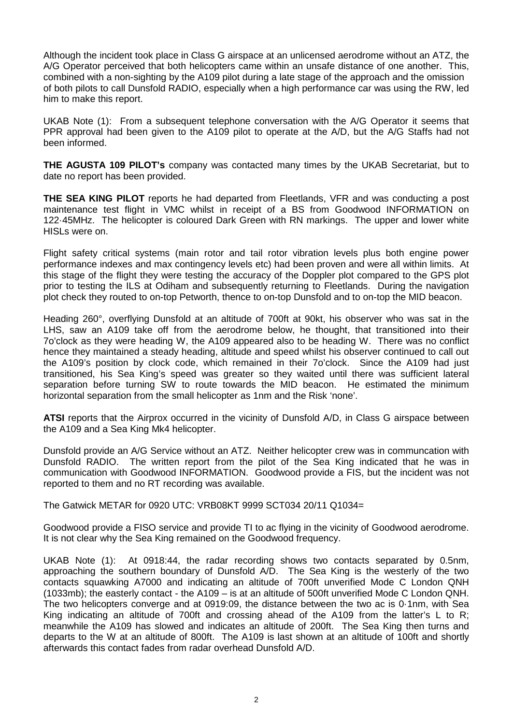Although the incident took place in Class G airspace at an unlicensed aerodrome without an ATZ, the A/G Operator perceived that both helicopters came within an unsafe distance of one another. This, combined with a non-sighting by the A109 pilot during a late stage of the approach and the omission of both pilots to call Dunsfold RADIO, especially when a high performance car was using the RW, led him to make this report.

UKAB Note (1): From a subsequent telephone conversation with the A/G Operator it seems that PPR approval had been given to the A109 pilot to operate at the A/D, but the A/G Staffs had not been informed.

**THE AGUSTA 109 PILOT's** company was contacted many times by the UKAB Secretariat, but to date no report has been provided.

**THE SEA KING PILOT** reports he had departed from Fleetlands, VFR and was conducting a post maintenance test flight in VMC whilst in receipt of a BS from Goodwood INFORMATION on 122·45MHz. The helicopter is coloured Dark Green with RN markings. The upper and lower white HISLs were on.

Flight safety critical systems (main rotor and tail rotor vibration levels plus both engine power performance indexes and max contingency levels etc) had been proven and were all within limits. At this stage of the flight they were testing the accuracy of the Doppler plot compared to the GPS plot prior to testing the ILS at Odiham and subsequently returning to Fleetlands. During the navigation plot check they routed to on-top Petworth, thence to on-top Dunsfold and to on-top the MID beacon.

Heading 260°, overflying Dunsfold at an altitude of 700ft at 90kt, his observer who was sat in the LHS, saw an A109 take off from the aerodrome below, he thought, that transitioned into their 7o'clock as they were heading W, the A109 appeared also to be heading W. There was no conflict hence they maintained a steady heading, altitude and speed whilst his observer continued to call out the A109's position by clock code, which remained in their 7o'clock. Since the A109 had just transitioned, his Sea King's speed was greater so they waited until there was sufficient lateral separation before turning SW to route towards the MID beacon. He estimated the minimum horizontal separation from the small helicopter as 1nm and the Risk 'none'.

**ATSI** reports that the Airprox occurred in the vicinity of Dunsfold A/D, in Class G airspace between the A109 and a Sea King Mk4 helicopter.

Dunsfold provide an A/G Service without an ATZ. Neither helicopter crew was in communcation with Dunsfold RADIO. The written report from the pilot of the Sea King indicated that he was in communication with Goodwood INFORMATION. Goodwood provide a FIS, but the incident was not reported to them and no RT recording was available.

The Gatwick METAR for 0920 UTC: VRB08KT 9999 SCT034 20/11 Q1034=

Goodwood provide a FISO service and provide TI to ac flying in the vicinity of Goodwood aerodrome. It is not clear why the Sea King remained on the Goodwood frequency.

UKAB Note (1): At 0918:44, the radar recording shows two contacts separated by 0.5nm, approaching the southern boundary of Dunsfold A/D. The Sea King is the westerly of the two contacts squawking A7000 and indicating an altitude of 700ft unverified Mode C London QNH (1033mb); the easterly contact - the A109 – is at an altitude of 500ft unverified Mode C London QNH. The two helicopters converge and at 0919:09, the distance between the two ac is 0·1nm, with Sea King indicating an altitude of 700ft and crossing ahead of the A109 from the latter's L to R; meanwhile the A109 has slowed and indicates an altitude of 200ft. The Sea King then turns and departs to the W at an altitude of 800ft. The A109 is last shown at an altitude of 100ft and shortly afterwards this contact fades from radar overhead Dunsfold A/D.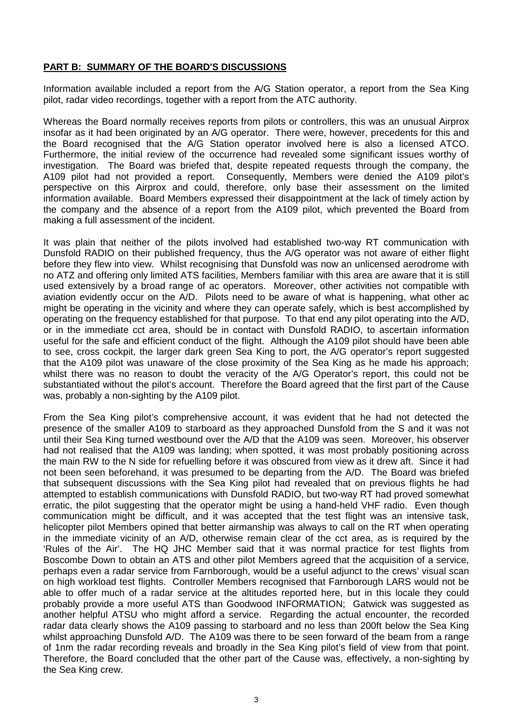#### **PART B: SUMMARY OF THE BOARD'S DISCUSSIONS**

Information available included a report from the A/G Station operator, a report from the Sea King pilot, radar video recordings, together with a report from the ATC authority.

Whereas the Board normally receives reports from pilots or controllers, this was an unusual Airprox insofar as it had been originated by an A/G operator. There were, however, precedents for this and the Board recognised that the A/G Station operator involved here is also a licensed ATCO. Furthermore, the initial review of the occurrence had revealed some significant issues worthy of investigation. The Board was briefed that, despite repeated requests through the company, the A109 pilot had not provided a report. Consequently, Members were denied the A109 pilot's perspective on this Airprox and could, therefore, only base their assessment on the limited information available. Board Members expressed their disappointment at the lack of timely action by the company and the absence of a report from the A109 pilot, which prevented the Board from making a full assessment of the incident.

It was plain that neither of the pilots involved had established two-way RT communication with Dunsfold RADIO on their published frequency, thus the A/G operator was not aware of either flight before they flew into view. Whilst recognising that Dunsfold was now an unlicensed aerodrome with no ATZ and offering only limited ATS facilities, Members familiar with this area are aware that it is still used extensively by a broad range of ac operators. Moreover, other activities not compatible with aviation evidently occur on the A/D. Pilots need to be aware of what is happening, what other ac might be operating in the vicinity and where they can operate safely, which is best accomplished by operating on the frequency established for that purpose. To that end any pilot operating into the A/D, or in the immediate cct area, should be in contact with Dunsfold RADIO, to ascertain information useful for the safe and efficient conduct of the flight. Although the A109 pilot should have been able to see, cross cockpit, the larger dark green Sea King to port, the A/G operator's report suggested that the A109 pilot was unaware of the close proximity of the Sea King as he made his approach; whilst there was no reason to doubt the veracity of the A/G Operator's report, this could not be substantiated without the pilot's account. Therefore the Board agreed that the first part of the Cause was, probably a non-sighting by the A109 pilot.

From the Sea King pilot's comprehensive account, it was evident that he had not detected the presence of the smaller A109 to starboard as they approached Dunsfold from the S and it was not until their Sea King turned westbound over the A/D that the A109 was seen. Moreover, his observer had not realised that the A109 was landing; when spotted, it was most probably positioning across the main RW to the N side for refuelling before it was obscured from view as it drew aft. Since it had not been seen beforehand, it was presumed to be departing from the A/D. The Board was briefed that subsequent discussions with the Sea King pilot had revealed that on previous flights he had attempted to establish communications with Dunsfold RADIO, but two-way RT had proved somewhat erratic, the pilot suggesting that the operator might be using a hand-held VHF radio. Even though communication might be difficult, and it was accepted that the test flight was an intensive task, helicopter pilot Members opined that better airmanship was always to call on the RT when operating in the immediate vicinity of an A/D, otherwise remain clear of the cct area, as is required by the 'Rules of the Air'. The HQ JHC Member said that it was normal practice for test flights from Boscombe Down to obtain an ATS and other pilot Members agreed that the acquisition of a service, perhaps even a radar service from Farnborough, would be a useful adjunct to the crews' visual scan on high workload test flights. Controller Members recognised that Farnborough LARS would not be able to offer much of a radar service at the altitudes reported here, but in this locale they could probably provide a more useful ATS than Goodwood INFORMATION; Gatwick was suggested as another helpful ATSU who might afford a service. Regarding the actual encounter, the recorded radar data clearly shows the A109 passing to starboard and no less than 200ft below the Sea King whilst approaching Dunsfold A/D. The A109 was there to be seen forward of the beam from a range of 1nm the radar recording reveals and broadly in the Sea King pilot's field of view from that point. Therefore, the Board concluded that the other part of the Cause was, effectively, a non-sighting by the Sea King crew.